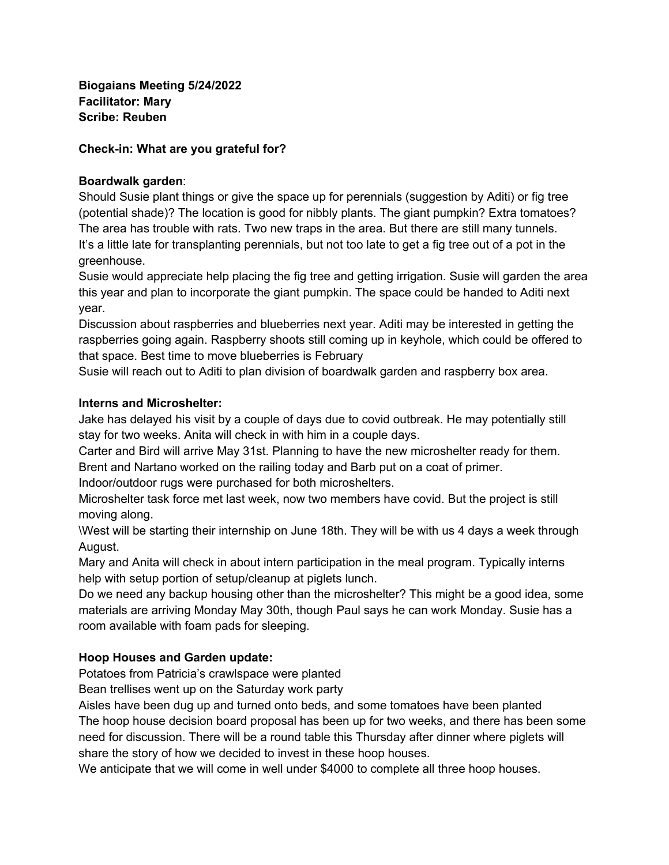**Biogaians Meeting 5/24/2022 Facilitator: Mary Scribe: Reuben**

## **Check-in: What are you grateful for?**

## **Boardwalk garden**:

Should Susie plant things or give the space up for perennials (suggestion by Aditi) or fig tree (potential shade)? The location is good for nibbly plants. The giant pumpkin? Extra tomatoes? The area has trouble with rats. Two new traps in the area. But there are still many tunnels. It's a little late for transplanting perennials, but not too late to get a fig tree out of a pot in the greenhouse.

Susie would appreciate help placing the fig tree and getting irrigation. Susie will garden the area this year and plan to incorporate the giant pumpkin. The space could be handed to Aditi next year.

Discussion about raspberries and blueberries next year. Aditi may be interested in getting the raspberries going again. Raspberry shoots still coming up in keyhole, which could be offered to that space. Best time to move blueberries is February

Susie will reach out to Aditi to plan division of boardwalk garden and raspberry box area.

## **Interns and Microshelter:**

Jake has delayed his visit by a couple of days due to covid outbreak. He may potentially still stay for two weeks. Anita will check in with him in a couple days.

Carter and Bird will arrive May 31st. Planning to have the new microshelter ready for them. Brent and Nartano worked on the railing today and Barb put on a coat of primer.

Indoor/outdoor rugs were purchased for both microshelters.

Microshelter task force met last week, now two members have covid. But the project is still moving along.

\West will be starting their internship on June 18th. They will be with us 4 days a week through August.

Mary and Anita will check in about intern participation in the meal program. Typically interns help with setup portion of setup/cleanup at piglets lunch.

Do we need any backup housing other than the microshelter? This might be a good idea, some materials are arriving Monday May 30th, though Paul says he can work Monday. Susie has a room available with foam pads for sleeping.

# **Hoop Houses and Garden update:**

Potatoes from Patricia's crawlspace were planted

Bean trellises went up on the Saturday work party

Aisles have been dug up and turned onto beds, and some tomatoes have been planted The hoop house decision board proposal has been up for two weeks, and there has been some need for discussion. There will be a round table this Thursday after dinner where piglets will share the story of how we decided to invest in these hoop houses.

We anticipate that we will come in well under \$4000 to complete all three hoop houses.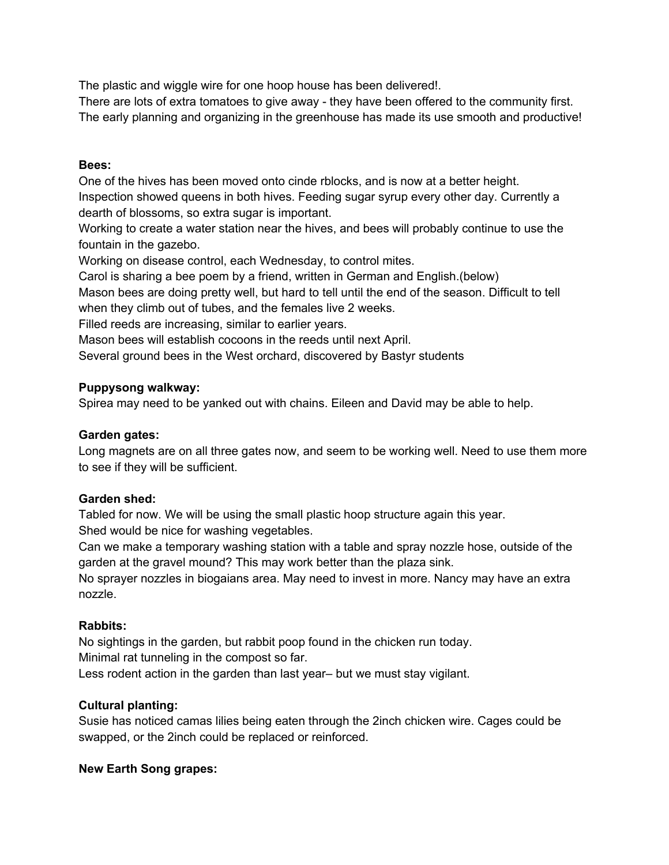The plastic and wiggle wire for one hoop house has been delivered!.

There are lots of extra tomatoes to give away - they have been offered to the community first. The early planning and organizing in the greenhouse has made its use smooth and productive!

## **Bees:**

One of the hives has been moved onto cinde rblocks, and is now at a better height. Inspection showed queens in both hives. Feeding sugar syrup every other day. Currently a dearth of blossoms, so extra sugar is important.

Working to create a water station near the hives, and bees will probably continue to use the fountain in the gazebo.

Working on disease control, each Wednesday, to control mites.

Carol is sharing a bee poem by a friend, written in German and English.(below)

Mason bees are doing pretty well, but hard to tell until the end of the season. Difficult to tell when they climb out of tubes, and the females live 2 weeks.

Filled reeds are increasing, similar to earlier years.

Mason bees will establish cocoons in the reeds until next April.

Several ground bees in the West orchard, discovered by Bastyr students

## **Puppysong walkway:**

Spirea may need to be yanked out with chains. Eileen and David may be able to help.

## **Garden gates:**

Long magnets are on all three gates now, and seem to be working well. Need to use them more to see if they will be sufficient.

# **Garden shed:**

Tabled for now. We will be using the small plastic hoop structure again this year. Shed would be nice for washing vegetables.

Can we make a temporary washing station with a table and spray nozzle hose, outside of the garden at the gravel mound? This may work better than the plaza sink.

No sprayer nozzles in biogaians area. May need to invest in more. Nancy may have an extra nozzle.

## **Rabbits:**

No sightings in the garden, but rabbit poop found in the chicken run today. Minimal rat tunneling in the compost so far. Less rodent action in the garden than last year– but we must stay vigilant.

## **Cultural planting:**

Susie has noticed camas lilies being eaten through the 2inch chicken wire. Cages could be swapped, or the 2inch could be replaced or reinforced.

# **New Earth Song grapes:**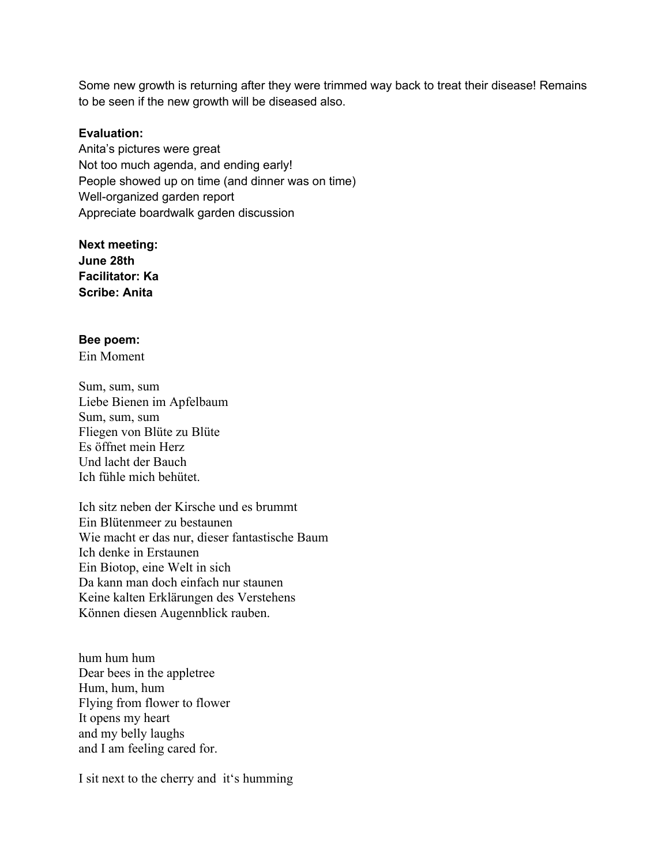Some new growth is returning after they were trimmed way back to treat their disease! Remains to be seen if the new growth will be diseased also.

#### **Evaluation:**

Anita's pictures were great Not too much agenda, and ending early! People showed up on time (and dinner was on time) Well-organized garden report Appreciate boardwalk garden discussion

**Next meeting: June 28th Facilitator: Ka Scribe: Anita**

#### **Bee poem:**

Ein Moment

Sum, sum, sum Liebe Bienen im Apfelbaum Sum, sum, sum Fliegen von Blüte zu Blüte Es öffnet mein Herz Und lacht der Bauch Ich fühle mich behütet.

Ich sitz neben der Kirsche und es brummt Ein Blütenmeer zu bestaunen Wie macht er das nur, dieser fantastische Baum Ich denke in Erstaunen Ein Biotop, eine Welt in sich Da kann man doch einfach nur staunen Keine kalten Erklärungen des Verstehens Können diesen Augennblick rauben.

hum hum hum Dear bees in the appletree Hum, hum, hum Flying from flower to flower It opens my heart and my belly laughs and I am feeling cared for.

I sit next to the cherry and it's humming